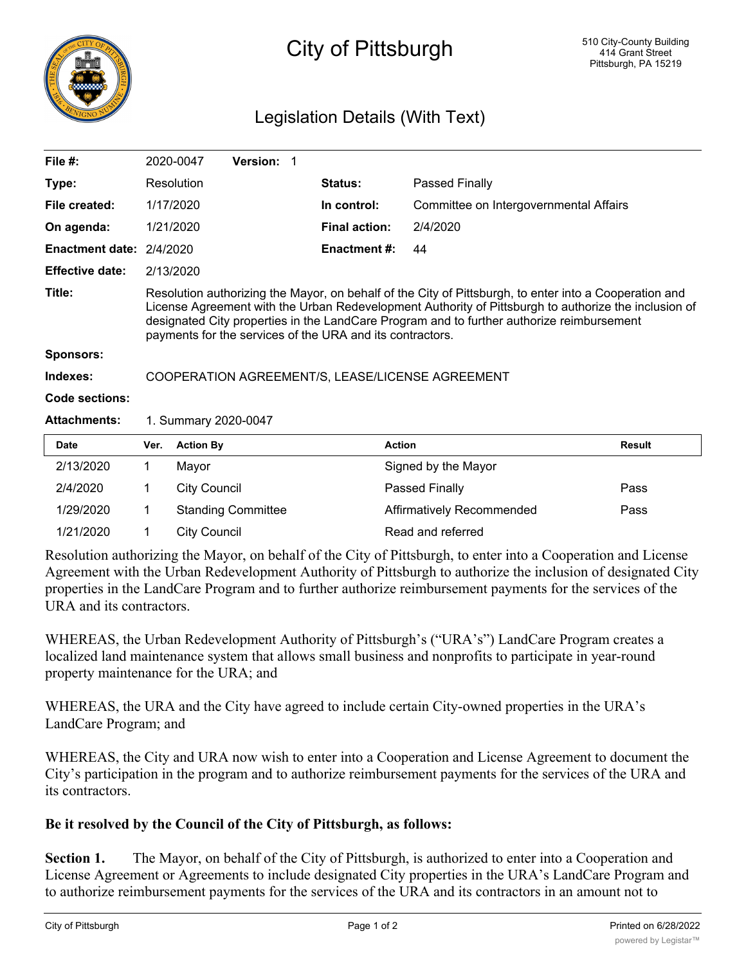

## City of Pittsburgh

## Legislation Details (With Text)

| File #:                      |                                                                                                                                                                                                                                                                                                                                                                          | 2020-0047           | Version: 1                |  |                      |                                        |               |
|------------------------------|--------------------------------------------------------------------------------------------------------------------------------------------------------------------------------------------------------------------------------------------------------------------------------------------------------------------------------------------------------------------------|---------------------|---------------------------|--|----------------------|----------------------------------------|---------------|
| Type:                        |                                                                                                                                                                                                                                                                                                                                                                          | Resolution          |                           |  | <b>Status:</b>       | Passed Finally                         |               |
| File created:                |                                                                                                                                                                                                                                                                                                                                                                          | 1/17/2020           |                           |  | In control:          | Committee on Intergovernmental Affairs |               |
| On agenda:                   |                                                                                                                                                                                                                                                                                                                                                                          | 1/21/2020           |                           |  | <b>Final action:</b> | 2/4/2020                               |               |
| <b>Enactment date:</b>       | 2/4/2020                                                                                                                                                                                                                                                                                                                                                                 |                     |                           |  | <b>Enactment #:</b>  | 44                                     |               |
| <b>Effective date:</b>       |                                                                                                                                                                                                                                                                                                                                                                          | 2/13/2020           |                           |  |                      |                                        |               |
| Title:                       | Resolution authorizing the Mayor, on behalf of the City of Pittsburgh, to enter into a Cooperation and<br>License Agreement with the Urban Redevelopment Authority of Pittsburgh to authorize the inclusion of<br>designated City properties in the LandCare Program and to further authorize reimbursement<br>payments for the services of the URA and its contractors. |                     |                           |  |                      |                                        |               |
| <b>Sponsors:</b><br>Indexes: |                                                                                                                                                                                                                                                                                                                                                                          |                     |                           |  |                      |                                        |               |
|                              | COOPERATION AGREEMENT/S, LEASE/LICENSE AGREEMENT                                                                                                                                                                                                                                                                                                                         |                     |                           |  |                      |                                        |               |
| <b>Code sections:</b>        |                                                                                                                                                                                                                                                                                                                                                                          |                     |                           |  |                      |                                        |               |
| <b>Attachments:</b>          | 1. Summary 2020-0047                                                                                                                                                                                                                                                                                                                                                     |                     |                           |  |                      |                                        |               |
| <b>Date</b>                  | Ver.                                                                                                                                                                                                                                                                                                                                                                     | <b>Action By</b>    |                           |  | <b>Action</b>        |                                        | <b>Result</b> |
| 2/13/2020                    | 1                                                                                                                                                                                                                                                                                                                                                                        | Mayor               |                           |  |                      | Signed by the Mayor                    |               |
| 2/4/2020                     | 1                                                                                                                                                                                                                                                                                                                                                                        | <b>City Council</b> |                           |  |                      | Passed Finally                         | Pass          |
| 1/29/2020                    | 1                                                                                                                                                                                                                                                                                                                                                                        |                     | <b>Standing Committee</b> |  |                      | Affirmatively Recommended              | Pass          |

Resolution authorizing the Mayor, on behalf of the City of Pittsburgh, to enter into a Cooperation and License Agreement with the Urban Redevelopment Authority of Pittsburgh to authorize the inclusion of designated City properties in the LandCare Program and to further authorize reimbursement payments for the services of the URA and its contractors.

WHEREAS, the Urban Redevelopment Authority of Pittsburgh's ("URA's") LandCare Program creates a localized land maintenance system that allows small business and nonprofits to participate in year-round property maintenance for the URA; and

WHEREAS, the URA and the City have agreed to include certain City-owned properties in the URA's LandCare Program; and

WHEREAS, the City and URA now wish to enter into a Cooperation and License Agreement to document the City's participation in the program and to authorize reimbursement payments for the services of the URA and its contractors.

## **Be it resolved by the Council of the City of Pittsburgh, as follows:**

1/21/2020 1 City Council Read and referred

**Section 1.** The Mayor, on behalf of the City of Pittsburgh, is authorized to enter into a Cooperation and License Agreement or Agreements to include designated City properties in the URA's LandCare Program and to authorize reimbursement payments for the services of the URA and its contractors in an amount not to